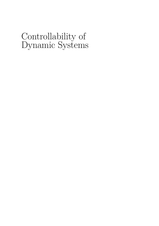# Controllability of Dynamic Systems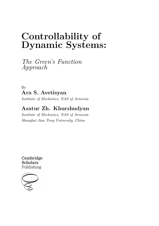# **Controllability of Dynamic Systems:**

*The Green's Function Approach*

By **Ara S. Avetisyan**

*Institute of Mechanics, NAS of Armenia*

## **Asatur Zh. Khurshudyan**

*Institute of Mechanics, NAS of Armenia Shanghai Jiao Tong University, China*

Cambridge **Scholars** Publishing

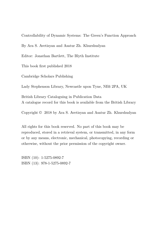Controllability of Dynamic Systems: The Green's Function Approach

By Ara S. Avetisyan and Asatur Zh. Khurshudyan

Editor: Jonathan Bartlett, The Blyth Institute

This book first published 2018

Cambridge Scholars Publishing

Lady Stephenson Library, Newcastle upon Tyne, NE6 2PA, UK

British Library Cataloguing in Publication Data A catalogue record for this book is available from the British Library

Copyright © 2018 by Ara S. Avetisyan and Asatur Zh. Khurshudyan

All rights for this book reserved. No part of this book may be reproduced, stored in a retrieval system, or transmitted, in any form or by any means, electronic, mechanical, photocopying, recording or otherwise, without the prior permission of the copyright owner.

ISBN (10): 1-5275-0892-7 ISBN (13): 978-1-5275-0892-7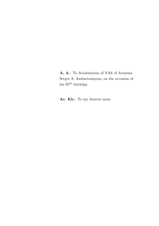**A. A.**: To Academician of NAS of Armenia Sergei A. Ambartsumyan, on the occasion of his 95<sup>th</sup> birthday

**As. Kh.**: To my dearest mom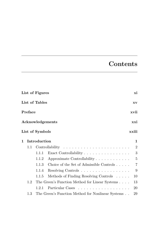## **Contents**

| List of Figures |                      |                 |                                                            | хi |                |
|-----------------|----------------------|-----------------|------------------------------------------------------------|----|----------------|
|                 | List of Tables<br>XV |                 |                                                            |    |                |
|                 | $\bf Preface$        |                 |                                                            |    | xvii           |
|                 |                      |                 | Acknowledgements                                           |    | xxi            |
|                 |                      | List of Symbols |                                                            |    | xxiii          |
| 1               |                      | Introduction    |                                                            |    | $\mathbf 1$    |
|                 | $1.1\,$              |                 |                                                            |    | $\overline{2}$ |
|                 |                      | 1.1.1           | Exact Controllability $\ldots \ldots \ldots \ldots \ldots$ |    | 3              |
|                 |                      | 1.1.2           | Approximate Controllability                                |    | $\overline{5}$ |
|                 |                      | 1.1.3           | Choice of the Set of Admissible Controls                   |    | $\overline{7}$ |
|                 |                      | 1.1.4           | Resolving Controls                                         |    | 9              |
|                 |                      | 1.1.5           | Methods of Finding Resolving Controls                      |    | 10             |
|                 | 1.2                  |                 | The Green's Function Method for Linear Systems             |    | 13             |
|                 |                      | 1.2.1           | Particular Cases                                           |    | 20             |
|                 | $1.3\,$              |                 | The Green's Function Method for Nonlinear Systems          |    | 29             |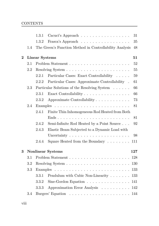|          |     | 1.3.1                 | Cacuci's Approach                                                                    | 31  |
|----------|-----|-----------------------|--------------------------------------------------------------------------------------|-----|
|          |     | 1.3.2                 | Frasca's Approach                                                                    | 35  |
|          | 1.4 |                       | The Green's Function Method in Controllability Analysis                              | 48  |
| $\bf{2}$ |     | <b>Linear Systems</b> |                                                                                      | 51  |
|          | 2.1 |                       |                                                                                      | 52  |
|          | 2.2 |                       |                                                                                      | 55  |
|          |     | 2.2.1                 | Particular Cases: Exact Controllability                                              | 59  |
|          |     | 2.2.2                 | Particular Cases: Approximate Controllability .                                      | 61  |
|          | 2.3 |                       | Particular Solutions of the Resolving System $\phantom{a} \ldots \phantom{a} \ldots$ | 66  |
|          |     | 2.3.1                 | Exact Controllability                                                                | 66  |
|          |     | 2.3.2                 | Approximate Controllability                                                          | 73  |
|          | 2.4 | Examples              |                                                                                      | 81  |
|          |     | 2.4.1                 | Finite Thin Inhomogeneous Rod Heated from Both                                       |     |
|          |     |                       |                                                                                      | 81  |
|          |     | 2.4.2                 | Semi-Infinite Rod Heated by a Point Source                                           | 92  |
|          |     | 2.4.3                 | Elastic Beam Subjected to a Dynamic Load with                                        |     |
|          |     |                       | Uncertainty $\ldots \ldots \ldots \ldots \ldots \ldots \ldots$                       | 98  |
|          |     | 2.4.4                 | Square Heated from the Boundary $\dots \dots$                                        | 111 |
| 3        |     |                       | <b>Nonlinear Systems</b>                                                             | 127 |
|          | 3.1 |                       |                                                                                      | 128 |
|          | 3.2 |                       |                                                                                      | 130 |
|          | 3.3 | Examples              |                                                                                      | 133 |
|          |     | 3.3.1                 | Pendulum with Cubic Non-Linearity                                                    | 133 |
|          |     | 3.3.2                 | Sine-Gordon Equation $\ldots \ldots \ldots \ldots \ldots$                            | 141 |
|          |     | 3.3.3                 | Approximation Error Analysis                                                         | 142 |
|          | 3.4 |                       |                                                                                      | 144 |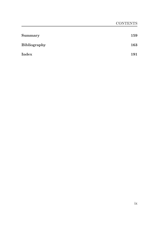| <b>Summary</b>      | 159 |
|---------------------|-----|
| <b>Bibliography</b> | 163 |
| Index               | 191 |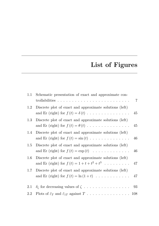# **List of Figures**

| $1.1\,$ | Schematic presentation of exact and approximate con-                                                                         | $\overline{7}$ |
|---------|------------------------------------------------------------------------------------------------------------------------------|----------------|
| 1.2     | Discrete plot of exact and approximate solutions (left)<br>and Er (right) for $f(t) = \delta(t)$                             | 45             |
| $1.3\,$ | Discrete plot of exact and approximate solutions (left)<br>and Er (right) for $f(t) = \theta(t)$                             | 45             |
| 1.4     | Discrete plot of exact and approximate solutions (left)<br>and Er (right) for $f(t) = \sin(t) \dots \dots \dots \dots \dots$ | 46             |
| $1.5\,$ | Discrete plot of exact and approximate solutions (left)<br>and Er (right) for $f(t) = \exp(t) \dots \dots \dots \dots \dots$ | 46             |
| $1.6\,$ | Discrete plot of exact and approximate solutions (left)<br>and Er (right) for $f(t) = 1 + t + t^2 + t^3$                     | -47            |
| $1.7\,$ | Discrete plot of exact and approximate solutions (left)<br>and Er (right) for $f(t) = \ln(1+t)$ 47                           |                |
| 2.1     | $\delta_\zeta$ for decreasing values of $\zeta$ .<br>93                                                                      |                |
| 2.2     |                                                                                                                              |                |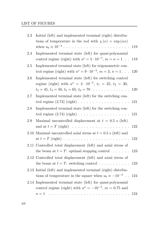#### LIST OF FIGURES

| 2.3      | Initial (left) and implemented terminal (right) distribu-<br>tions of temperature in the rod with $\chi(x) = \exp(\alpha x)$          | 119 |
|----------|---------------------------------------------------------------------------------------------------------------------------------------|-----|
| 2.4      | Implemented terminal state (left) for quasi-polynomial<br>control regime (right) with $u^o = 5 \cdot 10^{-7}$ , $m = n = 1$ .         | 119 |
| 2.5      | Implemented terminal state (left) for trigonometric con-<br>trol regime (right) with $u^o = 9 \cdot 10^{-4}$ , $m = 3$ , $n = 1$      | 120 |
| 2.6      | Implemented terminal state (left) for switching control<br>regime (right) with $u^o = 2 \cdot 10^{-5}$ , $t_1 = 25$ , $t_2 = 30$ ,    |     |
|          | $t_3 = 45, t_4 = 50, t_5 = 65, t_6 = 70$                                                                                              | 120 |
| 2.7      | Implemented terminal state (left) for the switching con-<br>trol regime $(2.73)$ (right) $\ldots \ldots \ldots \ldots \ldots \ldots$  | 121 |
| 2.8      | Implemented terminal state (left) for the switching con-                                                                              | 121 |
| 2.9      | Maximal uncontrolled displacement at $t = 0.5$ s (left)                                                                               | 122 |
| $2.10\,$ | Maximal uncontrolled axial stress at $t = 0.5$ s (left) and                                                                           | 122 |
|          | 2.11 Controlled total displacement (left) and axial stress of<br>the beam at $t = T$ : optimal stopping control                       | 123 |
|          | 2.12 Controlled total displacement (left) and axial stress of<br>the beam at $t = T$ : switching control                              | 123 |
|          | 2.13 Initial (left) and implemented terminal (right) distribu-<br>tions of temperature in the square when $u_b \equiv -10^{-4}$ . 124 |     |
|          | 2.14 Implemented terminal state (left) for quasi-polynomial<br>control regime (right) with $u^o = -10^{-5}$ , $m = 0.75$ and          |     |
|          | $n=1$                                                                                                                                 | 124 |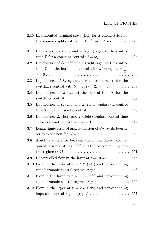|      | 2.15 Implemented terminal state (left) for trigonometric con-                 |     |
|------|-------------------------------------------------------------------------------|-----|
|      | trol regime (right) with $u^o = 10^{-4}$ , $m = 7$ and $n = 1.5$ .            | 125 |
| 3.1  | Dependence $\Delta$ (left) and I (right) against the control                  |     |
|      | time T for a constant control $u^o = w_T \dots \dots \dots$                   | 135 |
| 3.2  | Dependence of $\Delta$ (left) and I (right) against the control               |     |
|      | time T for the harmonic control with $u^o = w_T$ , $\omega = \frac{\pi}{2}$ , |     |
|      |                                                                               | 136 |
| 3.3  | Dependence of $I_n$ against the control time T for the                        |     |
|      | switching control with $t_1 = 1$ , $t_2 = 2$ , $t_3 = 3$                      | 138 |
| 3.4  | Dependence of $\Delta$ against the control time T for the                     |     |
|      |                                                                               | 139 |
| 3.5  | Dependence of $I_n$ (left) and $\Delta$ (right) against the control           |     |
|      | time $T$ for the discrete control                                             | 140 |
| 3.6  | Dependence $\Delta$ (left) and I (right) against control time                 |     |
|      | T for constant control with $\alpha = 1$                                      | 142 |
| 3.7  | Logarithmic error of approximation of $\Theta_T$ by its Fourier               |     |
|      | series expansion for $N = 50$                                                 | 150 |
| 3.8  | Absolute difference between the implemented and re-                           |     |
|      | quired terminal states (left) and the corresponding con-                      |     |
|      |                                                                               | 151 |
| 3.9  | Uncontrolled flow in the layer at $t = 10.35$                                 | 155 |
| 3.10 | Flow in the layer at $t = 9.2$ (left) and corresponding                       |     |
|      | time-harmonic control regime $(\text{right}) \dots \dots \dots \dots$         | 156 |
|      | 3.11 Flow in the layer at $t = 7.15$ (left) and corresponding                 |     |
|      | time-harmonic control regime $(right) \dots \dots \dots \dots$                | 156 |
|      | 3.12 Flow in the layer at $t = 8.5$ (left) and corresponding                  |     |
|      | impulsive control regime $(\text{right}) \dots \dots \dots \dots \dots$       | 157 |
|      |                                                                               |     |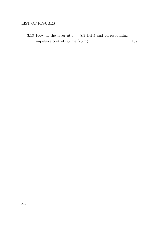3.13 Flow in the layer at  $t = 8.5$  (left) and corresponding impulsive control regime (right) . . . . . . . . . . . . . . 157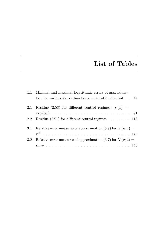## **List of Tables**

|               | 1.1 Minimal and maximal logarithmic errors of approxima-             |
|---------------|----------------------------------------------------------------------|
|               | tion for various source functions: quadratic potential $\ldots$ 44   |
|               | 2.1 Residue (2.53) for different control regimes: $\chi(x)$ =        |
|               |                                                                      |
|               | 2.2 Residue $(2.91)$ for different control regimes $\dots \dots$ 118 |
|               | 3.1 Relative error measures of approximation (3.7) for $N(w,t) =$    |
|               |                                                                      |
| $3.2^{\circ}$ | Relative error measures of approximation (3.7) for $N(w,t) =$        |
|               |                                                                      |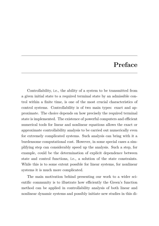### **Preface**

Controllability, i.e., the ability of a system to be transmitted from a given initial state to a required terminal state by an admissible control within a finite time, is one of the most crucial characteristics of control systems. Controllability is of two main types: exact and approximate. The choice depends on how precisely the required terminal state is implemented. The existence of powerful computers and efficient numerical tools for linear and nonlinear equations allows the exact or approximate controllability analysis to be carried out numerically even for extremely complicated systems. Such analysis can bring with it a burdensome computational cost. However, in some special cases a simplifying step can considerably speed up the analysis. Such a step, for example, could be the determination of explicit dependence between state and control functions, i.e., a solution of the state constraints. While this is to some extent possible for linear systems, for nonlinear systems it is much more complicated.

The main motivation behind presenting our work to a wider scientific community is to illustrate how efficiently the Green's function method can be applied in controllability analysis of both linear and nonlinear dynamic systems and possibly initiate new studies in this di-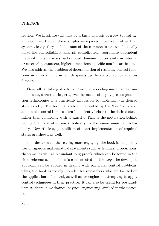#### PREFACE

rection. We illustrate this idea by a basic analysis of a few typical examples. Even though the examples were picked intuitively rather than systematically, they include some of the common issues which usually make the controllability analysis complicated: coordinate dependent material characteristics, unbounded domains, uncertainty in internal or external parameters, higher dimensions, specific non-linearities, etc. We also address the problem of determination of resolving control functions in an explicit form, which speeds up the controllability analysis further.

Generally speaking, due to, for example, modeling inaccuracies, random issues, uncertainties, etc., even by means of highly precise production technologies it is practically impossible to implement the desired state exactly. The terminal state implemented by the "best" choice of admissible control is more often "sufficiently" close to the desired state, rather than coinciding with it exactly. That is the motivation behind paying the most attention specifically to the *approximate* controllability. Nevertheless, possibilities of exact implementation of required states are shown as well.

In order to make the reading more engaging, the book is completely free of rigorous mathematical statements such as lemmas, propositions, theorems, as well as redundant long proofs, which can be found in the cited references. The focus is concentrated on the *ways* the developed approach can be applied in dealing with particular control problems. Thus, the book is mostly intended for researchers who are focused on the applications of control, as well as for engineers attempting to apply control techniques in their practice. It can also be useful for postgraduate students in mechanics, physics, engineering, applied mathematics, etc.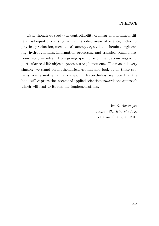Even though we study the controllability of linear and nonlinear differential equations arising in many applied areas of science, including physics, production, mechanical, aerospace, civil and chemical engineering, hydrodynamics, information processing and transfer, communications, etc., we refrain from giving specific recommendations regarding particular real-life objects, processes or phenomena. The reason is very simple: we stand on mathematical ground and look at all those systems from a mathematical viewpoint. Nevertheless, we hope that the book will capture the interest of applied scientists towards the approach which will lead to its real-life implementations.

> *Ara S. Avetisyan Asatur Zh. Khurshudyan* Yerevan, Shanghai, 2018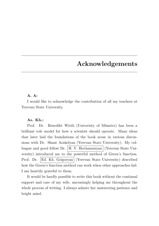## **Acknowledgements**

#### **A. A:**

I would like to acknowledge the contribution of all my teachers at Yerevan State University.

#### **As. Kh.:**

Prof. Dr. Benedikt Wirth (Univeristy of Münster) has been a brilliant role model for how a scientist should operate. Many ideas that later laid the foundations of the book arose in various discussions with Dr. Shant Arakelyan (Yerevan State University). My colleague and good fellow Dr. | H. V. Hovhannisyan | (Yerevan State University) introduced me to the powerful method of Green's function. Prof. Dr. Ed. Kh. Grigoryan (Yerevan State University) described how the Green's function method can work when other approaches fail. I am heartily grateful to them.

It would be hardly possible to write this book without the continual support and care of my wife, unceasingly helping me throughout the whole process of writing. I always admire her unwavering patience and bright mind.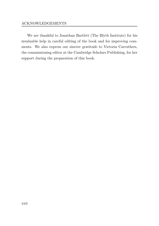#### ACKNOWLEDGEMENTS

We are thankful to Jonathan Bartlett (The Blyth Institute) for his invaluable help in careful editing of the book and for improving comments. We also express our sincere gratitude to Victoria Carruthers, the commissioning editor at the Cambridge Scholars Publishing, for her support during the preparation of this book.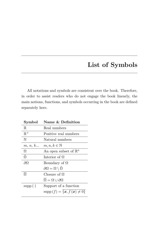## **List of Symbols**

All notations and symbols are consistent over the book. Therefore, in order to assist readers who do not engage the book linearly, the main notions, functions, and symbols occurring in the book are defined separately here.

| ${\rm Symbol}$      | Name & Definition                                 |
|---------------------|---------------------------------------------------|
| $\mathbb R$         | Real numbers                                      |
| $\mathbb{R}^+$      | Positive real numbers                             |
| N                   | Natural numbers                                   |
| m, n, k             | $m, n, k \in \mathbb{N}$                          |
| Ω                   | An open subset of $\mathbb{R}^n$                  |
| $\dot{\Omega}$      | Interior of $\Omega$                              |
| $\partial\Omega$    | Boundary of $\Omega$                              |
|                     | $\partial\Omega=\Omega\setminus\check\Omega$      |
| $\overline{\Omega}$ | Closure of $\Omega$                               |
|                     | $\overline{\Omega} = \Omega \cup \partial \Omega$ |
| $supp(\cdot)$       | Support of a function                             |
|                     | $supp(f) = \{x, f(x) \neq 0\}$                    |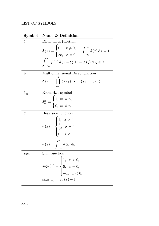| Symbol       | Name & Definition                                                                                                                                                                                                   |
|--------------|---------------------------------------------------------------------------------------------------------------------------------------------------------------------------------------------------------------------|
| $\delta$     | Dirac delta function                                                                                                                                                                                                |
|              | $\delta(x) = \begin{cases} 0, & x \neq 0, \\ \infty, & x = 0, \end{cases} \quad \int_{-\infty}^{\infty} \delta(x) dx = 1,$<br>$\int_{-\infty}^{\infty} f(x) \delta(x - \xi) dx = f(\xi) \forall \xi \in \mathbb{R}$ |
|              |                                                                                                                                                                                                                     |
| $\delta$     | Multidimensional Dirac function                                                                                                                                                                                     |
|              | $\boldsymbol{\delta}\left(\boldsymbol{x}\right)=\prod\delta\left(x_{k}\right),\,\boldsymbol{x}=\left(x_{1},\ldots,x_{n}\right)$<br>$k=1$                                                                            |
| $\delta^n_m$ | Kronecker symbol                                                                                                                                                                                                    |
|              | $\delta_m^n = \begin{cases} 1, m = n, \\ 0, m \neq n \end{cases}$                                                                                                                                                   |
| $\theta$     | Heaviside function                                                                                                                                                                                                  |
|              | $\theta(x) = \begin{cases} 1, & x > 0, \\ \frac{1}{2}, & x = 0, \\ 0, & x < 0. \end{cases}$                                                                                                                         |
|              | $\theta(x) = \int_{-\infty}^{x} \delta(\xi) d\xi$                                                                                                                                                                   |
| sign         | Sign function                                                                                                                                                                                                       |
|              |                                                                                                                                                                                                                     |
|              | sign $(x) = \begin{cases} 1, & x > 0, \\ 0, & x = 0, \\ -1, & x < 0, \end{cases}$                                                                                                                                   |
|              |                                                                                                                                                                                                                     |
|              | $sign(x) = 2\theta(x) - 1$                                                                                                                                                                                          |

xxiv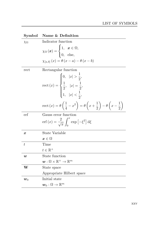| Symbol           | Name & Definition                                                                                                                                             |
|------------------|---------------------------------------------------------------------------------------------------------------------------------------------------------------|
| $\chi_{\Omega}$  | Indicator function                                                                                                                                            |
|                  | $\chi_{\Omega}(\boldsymbol{x}) = \begin{cases} 1, & \boldsymbol{x} \in \Omega, \\ 0, & \text{else,} \end{cases}$                                              |
|                  | $\chi_{[a,b]}(x) = \theta(x-a) - \theta(x-b)$                                                                                                                 |
| rect             | Rectangular function                                                                                                                                          |
|                  | $\text{rect}\left(x\right) = \begin{cases} 0, &  x  > \frac{1}{2}, \\[0.2cm] \frac{1}{2}, &  x  = \frac{1}{2}, \\[0.2cm] 1, &  x  < \frac{1}{2}, \end{cases}$ |
|                  | rect $(x) = \theta \left(\frac{1}{4} - x^2\right) = \theta \left(x + \frac{1}{2}\right) - \theta \left(x - \frac{1}{2}\right)$                                |
| erf              | Gauss error function                                                                                                                                          |
|                  | erf $(x) = \frac{2}{\sqrt{\pi}} \int_0^x \exp[-\xi^2] d\xi$                                                                                                   |
| $\boldsymbol{x}$ | State Variable                                                                                                                                                |
|                  | $\bm{x}\in\Omega$                                                                                                                                             |
| t                | Time                                                                                                                                                          |
|                  | $t\in\mathbb{R}^+$                                                                                                                                            |
| $\boldsymbol{w}$ | State function                                                                                                                                                |
|                  | $\boldsymbol{w}:\Omega\times\mathbb{R}^+\to\mathbb{R}^m$                                                                                                      |
| W                | State space                                                                                                                                                   |
|                  | Appropriate Hilbert space                                                                                                                                     |
| $w_0$            | Initial state                                                                                                                                                 |
|                  | $\bm{w}_0:\Omega\to\mathbb{R}^m$                                                                                                                              |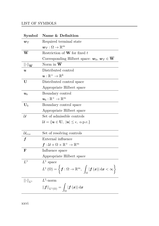| Symbol                                 | Name & Definition                                                                                                                                                                                      |
|----------------------------------------|--------------------------------------------------------------------------------------------------------------------------------------------------------------------------------------------------------|
| $w_T$                                  | Required terminal state                                                                                                                                                                                |
|                                        | $\bm{w}_T:\Omega\to\mathbb{R}^m$                                                                                                                                                                       |
| $\overline{\textbf{W}}$                | Restriction of $W$ for fixed $t$                                                                                                                                                                       |
|                                        | Corresponding Hilbert space: $w_0, w_T \in W$                                                                                                                                                          |
| $  \cdot  _{\overline{\mathbf{W}}}$    | Norm in $W$                                                                                                                                                                                            |
| $\boldsymbol{u}$                       | Distributed control                                                                                                                                                                                    |
|                                        | $\boldsymbol{u}:\mathbb{R}^+\rightarrow\mathbb{R}^k$                                                                                                                                                   |
| U                                      | Distributed control space                                                                                                                                                                              |
|                                        | Appropriate Hilbert space                                                                                                                                                                              |
| $\boldsymbol{u}_b$                     | Boundary control                                                                                                                                                                                       |
|                                        | $\boldsymbol{u}_b:\mathbb{R}^+\rightarrow\mathbb{R}^m$                                                                                                                                                 |
| $\mathbf{U}_b$                         | Boundary control space                                                                                                                                                                                 |
|                                        | Appropriate Hilbert space                                                                                                                                                                              |
| $\mathcal{U}$                          | Set of admissible controls                                                                                                                                                                             |
|                                        | $\mathcal{U} = {\boldsymbol{u} \in \mathbf{U},   \mathbf{u}   \leq \epsilon, \text{ o.p.c.}}$                                                                                                          |
|                                        |                                                                                                                                                                                                        |
| $\mathcal{U}_{res}$                    | Set of resolving controls                                                                                                                                                                              |
|                                        | External influence                                                                                                                                                                                     |
|                                        | $\boldsymbol{f}: \mathcal{U} \times \Omega \times \mathbb{R}^+ \rightarrow \mathbb{R}^m$                                                                                                               |
| F                                      | Influence space                                                                                                                                                                                        |
|                                        | Appropriate Hilbert space                                                                                                                                                                              |
| $L^1$                                  | $L^1$ space                                                                                                                                                                                            |
|                                        | $L^1\left(\Omega\right) = \left\{\boldsymbol{f}: \Omega \rightarrow \mathbb{R}^m, \ \ \int_{\Omega} \left \boldsymbol{f}\left(\boldsymbol{x}\right)\right  \mathrm{d} \boldsymbol{x} < \infty\right\}$ |
| $\left\Vert \cdot\right\Vert _{L^{1}}$ | $L^1$ -norm                                                                                                                                                                                            |
|                                        | $  \boldsymbol{f}  _{L^1(\Omega)} = \int_{\Omega}  \boldsymbol{f}(\boldsymbol{x})  \, \mathrm{d}\boldsymbol{x}$                                                                                        |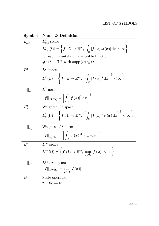| Symbol                                       | Name & Definition                                                                                                                                                                                                                                         |
|----------------------------------------------|-----------------------------------------------------------------------------------------------------------------------------------------------------------------------------------------------------------------------------------------------------------|
| $L^1_{loc}$                                  | $L^1_{loc}$ space                                                                                                                                                                                                                                         |
|                                              | $L^1_{loc}\left(\Omega \right)=\left\{ \boldsymbol{f}:\Omega \rightarrow \mathbb{R}^m,\,\,\int_{\Omega }\left \boldsymbol{f}\left(\boldsymbol{x}\right) \boldsymbol{\varphi }\left(\boldsymbol{x}\right)\right  \mathrm{d}\boldsymbol{x}<\infty \right\}$ |
|                                              | for each infinitely differentiable function                                                                                                                                                                                                               |
|                                              | $\varphi : \Omega \to \mathbb{R}^m$ with supp $(\varphi) \subseteq \Omega$                                                                                                                                                                                |
| $L^2$                                        | $L^2$ space                                                                                                                                                                                                                                               |
|                                              | $L^2\left(\Omega\right)=\left\{\boldsymbol{f}:\Omega\rightarrow\mathbb{R}^m,\ \left[\,\int_\Omega\left \boldsymbol{f}\left(\boldsymbol{x}\right)\right ^2\mathrm{d}\boldsymbol{x}\right]^{\frac{1}{2}}<\infty\right\}$                                    |
| $\left\Vert \cdot\right\Vert _{L^{2}}$       | $L^2$ -norm                                                                                                                                                                                                                                               |
|                                              | $  \textbf{\textit{f}}  _{L^{2}(\Omega)}=\bigg \int_{\Omega} \textbf{\textit{f}}\,(\textbf{\textit{x}}) ^{2}\,\mathrm{d}\textbf{\textit{x}}\bigg ^{2}.$                                                                                                   |
| $L^2_{\nu}$                                  | Weighted $L^2$ space                                                                                                                                                                                                                                      |
|                                              | $L^2_{\nu}(\Omega) = \left\{ \boldsymbol{f}:\Omega\to\mathbb{R}^m,\; \left[\int_{\Omega} \left \boldsymbol{f}\left(\boldsymbol{x}\right)\right ^2 \nu\left(\boldsymbol{x}\right) \mathrm{d} \boldsymbol{x}\right]^{\frac{1}{2}} < \infty \right\}$        |
| $\left\Vert \cdot\right\Vert _{L_{\nu}^{2}}$ | Weighted $L^2$ -norm                                                                                                                                                                                                                                      |
|                                              | $  f  _{L^2_{\nu}(\Omega)} = \left  \int_{\Omega}  f(x) ^2 \nu(x) dx \right ^{\frac{1}{2}}$                                                                                                                                                               |
| $L^{\infty}$                                 | $L^{\infty}$ space                                                                                                                                                                                                                                        |
|                                              | $L^{\infty}(\Omega) = \left\{ \boldsymbol{f} : \Omega \to \mathbb{R}^m, \ \sup_{\boldsymbol{x} \in \Omega}  \boldsymbol{f}(\boldsymbol{x})  < \infty \right\}$                                                                                            |
| $\left\Vert \cdot\right\Vert _{L^{\infty}}$  | $L^{\infty}$ or sup-norm                                                                                                                                                                                                                                  |
|                                              | $  f  _{L^{\infty}(\Omega)} = \sup_{x \in \Omega}  f(x) $                                                                                                                                                                                                 |
| ${\cal D}$                                   | State operator                                                                                                                                                                                                                                            |
|                                              | $\mathcal{D}:\mathbf{W}\rightarrow\mathbf{F}$                                                                                                                                                                                                             |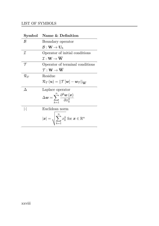| Symbol              | Name & Definition                                                                                            |
|---------------------|--------------------------------------------------------------------------------------------------------------|
| ĸ                   | Boundary operator                                                                                            |
|                     | $\mathcal{B}:\mathbf{W}\to\mathbf{U}_h$                                                                      |
| T.                  | Operator of initial conditions                                                                               |
|                     | $\mathcal{T} \cdot \mathbf{W} \rightarrow \mathbf{W}$                                                        |
| $\tau$              | Operator of terminal conditions                                                                              |
|                     | $\mathcal{T}: \mathbf{W} \to \mathbf{W}$                                                                     |
| $\mathcal{R}_T$     | Residue                                                                                                      |
|                     | $\mathcal{R}_T(u) =   \mathcal{T}[w] - w_T  _{\overline{\mathbf{W}}}$                                        |
| Л                   | Laplace operator                                                                                             |
|                     | $\Delta \boldsymbol{w} = \sum^n \frac{\partial^2 \boldsymbol{w}\left(\boldsymbol{x}\right)}{\partial x_i^2}$ |
| $\vert \cdot \vert$ | Euclidean norm                                                                                               |
|                     | $ \mathbf{x}  = \sqrt{\sum_{k=1}^{n} x_k^2}$ for $\mathbf{x} \in \mathbb{R}^n$                               |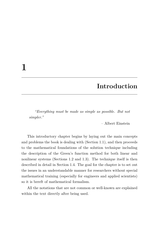### **Introduction**

*"Everything must be made as simple as possible. But not simpler."*

– Albert Einstein

This introductory chapter begins by laying out the main concepts and problems the book is dealing with (Section 1.1), and then proceeds to the mathematical foundations of the solution technique including the description of the Green's function method for both linear and nonlinear systems (Sections 1.2 and 1.3). The technique itself is then described in detail in Section 1.4. The goal for the chapter is to set out the issues in an understandable manner for researchers without special mathematical training (especially for engineers and applied scientists) so it is bereft of mathematical formalism.

All the notations that are not common or well-known are explained within the text directly after being used.